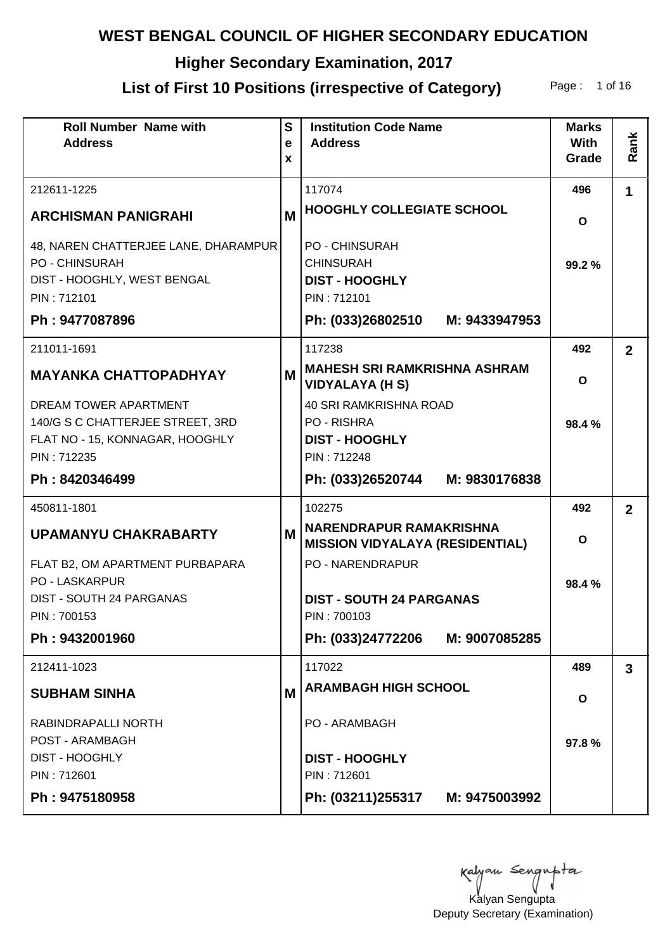## **Higher Secondary Examination, 2017**

### List of First 10 Positions (irrespective of Category) Page: 1 of 16

| <b>Roll Number Name with</b><br><b>Address</b>                                                              | S<br>e<br>X | <b>Institution Code Name</b><br><b>Address</b>                                       | <b>Marks</b><br><b>With</b><br>Grade | Rank           |
|-------------------------------------------------------------------------------------------------------------|-------------|--------------------------------------------------------------------------------------|--------------------------------------|----------------|
| 212611-1225                                                                                                 |             | 117074                                                                               | 496                                  | 1              |
| <b>ARCHISMAN PANIGRAHI</b>                                                                                  | M           | <b>HOOGHLY COLLEGIATE SCHOOL</b>                                                     | $\mathbf{o}$                         |                |
| 48, NAREN CHATTERJEE LANE, DHARAMPUR<br><b>PO - CHINSURAH</b><br>DIST - HOOGHLY, WEST BENGAL<br>PIN: 712101 |             | <b>PO - CHINSURAH</b><br><b>CHINSURAH</b><br><b>DIST - HOOGHLY</b><br>PIN: 712101    | 99.2%                                |                |
| Ph: 9477087896                                                                                              |             | Ph: (033)26802510 M: 9433947953                                                      |                                      |                |
| 211011-1691                                                                                                 |             | 117238                                                                               | 492                                  | 2 <sup>1</sup> |
| <b>MAYANKA CHATTOPADHYAY</b>                                                                                | M           | <b>MAHESH SRI RAMKRISHNA ASHRAM</b><br><b>VIDYALAYA (H S)</b>                        | $\mathbf{o}$                         |                |
| DREAM TOWER APARTMENT<br>140/G S C CHATTERJEE STREET, 3RD<br>FLAT NO - 15, KONNAGAR, HOOGHLY<br>PIN: 712235 |             | <b>40 SRI RAMKRISHNA ROAD</b><br>PO - RISHRA<br><b>DIST - HOOGHLY</b><br>PIN: 712248 | 98.4%                                |                |
| Ph: 8420346499                                                                                              |             | Ph: (033)26520744 M: 9830176838                                                      |                                      |                |
| 450811-1801                                                                                                 |             | 102275                                                                               | 492                                  | 2 <sup>1</sup> |
| <b>UPAMANYU CHAKRABARTY</b>                                                                                 | М           | <b>NARENDRAPUR RAMAKRISHNA</b><br><b>MISSION VIDYALAYA (RESIDENTIAL)</b>             | $\mathbf{o}$                         |                |
| FLAT B2, OM APARTMENT PURBAPARA                                                                             |             | <b>PO - NARENDRAPUR</b>                                                              |                                      |                |
| <b>PO - LASKARPUR</b><br>DIST - SOUTH 24 PARGANAS<br>PIN: 700153                                            |             | <b>DIST - SOUTH 24 PARGANAS</b><br>PIN: 700103                                       | 98.4%                                |                |
| Ph: 9432001960                                                                                              |             | Ph: (033)24772206 M: 9007085285                                                      |                                      |                |
| 212411-1023                                                                                                 |             | 117022                                                                               | 489                                  | $\mathbf{3}$   |
| <b>SUBHAM SINHA</b>                                                                                         | M           | <b>ARAMBAGH HIGH SCHOOL</b>                                                          | O                                    |                |
| RABINDRAPALLI NORTH<br>POST - ARAMBAGH                                                                      |             | PO - ARAMBAGH                                                                        | 97.8%                                |                |
| <b>DIST - HOOGHLY</b><br>PIN: 712601                                                                        |             | <b>DIST - HOOGHLY</b><br>PIN: 712601                                                 |                                      |                |
| Ph: 9475180958                                                                                              |             | Ph: (03211)255317 M: 9475003992                                                      |                                      |                |

Kalyan Sengn pta

Deputy Secretary (Examination) Kalyan Sengupta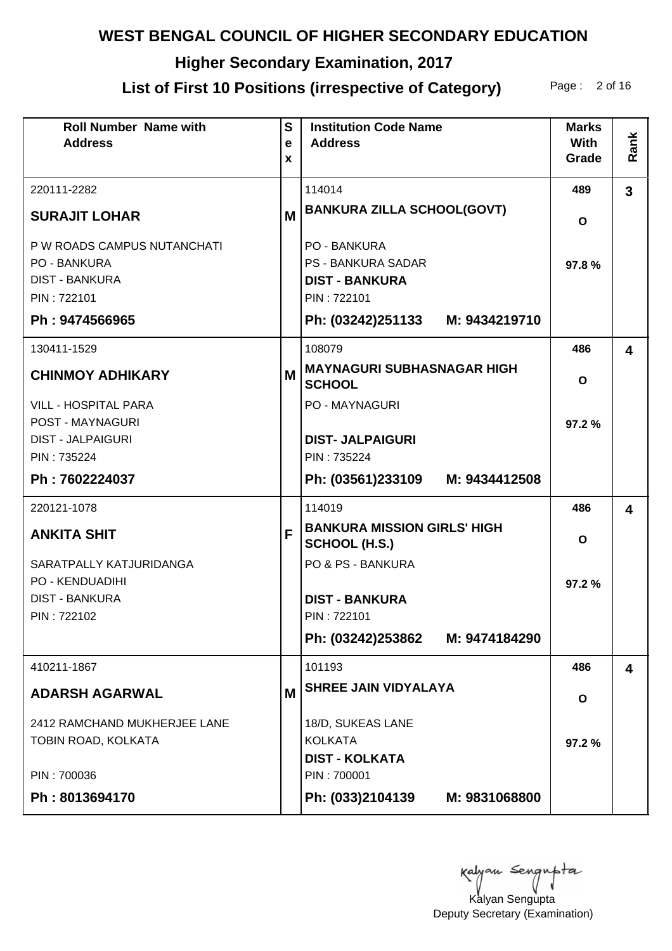## **Higher Secondary Examination, 2017**

### List of First 10 Positions (irrespective of Category) Page: 2 of 16

| <b>Roll Number Name with</b><br><b>Address</b>                                                               | $\mathbf{s}$<br>$\mathbf e$<br>X | <b>Institution Code Name</b><br><b>Address</b>                                                                              | <b>Marks</b><br><b>With</b><br>Grade | Rank           |
|--------------------------------------------------------------------------------------------------------------|----------------------------------|-----------------------------------------------------------------------------------------------------------------------------|--------------------------------------|----------------|
| 220111-2282                                                                                                  |                                  | 114014                                                                                                                      | 489                                  |                |
| <b>SURAJIT LOHAR</b>                                                                                         | M                                | <b>BANKURA ZILLA SCHOOL(GOVT)</b>                                                                                           | $\mathbf{o}$                         | $\overline{3}$ |
| P W ROADS CAMPUS NUTANCHATI<br><b>PO - BANKURA</b><br><b>DIST - BANKURA</b><br>PIN: 722101<br>Ph: 9474566965 |                                  | <b>PO - BANKURA</b><br><b>PS - BANKURA SADAR</b><br><b>DIST - BANKURA</b><br>PIN: 722101<br>Ph: (03242)251133 M: 9434219710 | 97.8%                                |                |
| 130411-1529                                                                                                  |                                  | 108079                                                                                                                      | 486                                  | 4              |
| <b>CHINMOY ADHIKARY</b>                                                                                      | M                                | <b>MAYNAGURI SUBHASNAGAR HIGH</b><br><b>SCHOOL</b>                                                                          | O                                    |                |
| <b>VILL - HOSPITAL PARA</b><br>POST - MAYNAGURI<br><b>DIST - JALPAIGURI</b><br>PIN: 735224                   |                                  | <b>PO - MAYNAGURI</b><br><b>DIST- JALPAIGURI</b><br>PIN: 735224                                                             | 97.2%                                |                |
| Ph: 7602224037                                                                                               |                                  | Ph: (03561)233109 M: 9434412508                                                                                             |                                      |                |
| 220121-1078                                                                                                  |                                  | 114019                                                                                                                      | 486                                  | 4              |
| <b>ANKITA SHIT</b>                                                                                           | F                                | <b>BANKURA MISSION GIRLS' HIGH</b><br><b>SCHOOL (H.S.)</b>                                                                  | $\mathbf{o}$                         |                |
| SARATPALLY KATJURIDANGA                                                                                      |                                  | PO & PS - BANKURA                                                                                                           |                                      |                |
| <b>PO - KENDUADIHI</b><br><b>DIST - BANKURA</b>                                                              |                                  | <b>DIST - BANKURA</b>                                                                                                       | 97.2%                                |                |
| PIN: 722102                                                                                                  |                                  | PIN: 722101                                                                                                                 |                                      |                |
|                                                                                                              |                                  | Ph: (03242)253862 M: 9474184290                                                                                             |                                      |                |
| 410211-1867                                                                                                  |                                  | 101193                                                                                                                      | 486                                  | 4              |
| <b>ADARSH AGARWAL</b>                                                                                        | M                                | <b>SHREE JAIN VIDYALAYA</b>                                                                                                 | O                                    |                |
| 2412 RAMCHAND MUKHERJEE LANE<br>TOBIN ROAD, KOLKATA                                                          |                                  | 18/D, SUKEAS LANE<br><b>KOLKATA</b><br><b>DIST - KOLKATA</b>                                                                | 97.2%                                |                |
| PIN: 700036                                                                                                  |                                  | PIN: 700001                                                                                                                 |                                      |                |
| Ph: 8013694170                                                                                               |                                  | Ph: (033)2104139<br>M: 9831068800                                                                                           |                                      |                |

Kalyan Sengn pta

Deputy Secretary (Examination) Kalyan Sengupta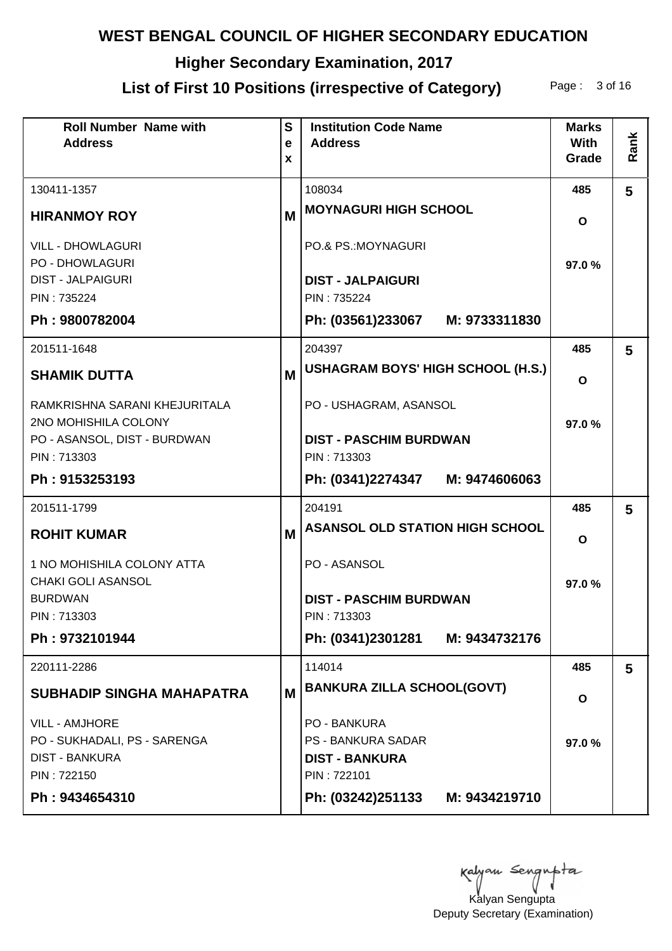## **Higher Secondary Examination, 2017**

### List of First 10 Positions (irrespective of Category) Page: 3 of 16

| <b>Roll Number Name with</b><br><b>Address</b>        | $\mathbf{s}$<br>e | <b>Institution Code Name</b><br><b>Address</b>     | <b>Marks</b><br><b>With</b> | Rank |
|-------------------------------------------------------|-------------------|----------------------------------------------------|-----------------------------|------|
|                                                       | X                 |                                                    | Grade                       |      |
| 130411-1357                                           |                   | 108034                                             | 485                         | 5    |
| <b>HIRANMOY ROY</b>                                   | M                 | <b>MOYNAGURI HIGH SCHOOL</b>                       | $\mathbf{o}$                |      |
| <b>VILL - DHOWLAGURI</b><br><b>PO - DHOWLAGURI</b>    |                   | PO.& PS.: MOYNAGURI                                |                             |      |
| <b>DIST - JALPAIGURI</b>                              |                   | <b>DIST - JALPAIGURI</b>                           | 97.0%                       |      |
| PIN: 735224                                           |                   | PIN: 735224                                        |                             |      |
| Ph: 9800782004                                        |                   | Ph: (03561)233067 M: 9733311830                    |                             |      |
| 201511-1648                                           |                   | 204397                                             | 485                         | 5    |
| <b>SHAMIK DUTTA</b>                                   | M                 | <b>USHAGRAM BOYS' HIGH SCHOOL (H.S.)</b>           | O                           |      |
| RAMKRISHNA SARANI KHEJURITALA                         |                   | PO - USHAGRAM, ASANSOL                             |                             |      |
| 2NO MOHISHILA COLONY<br>PO - ASANSOL, DIST - BURDWAN  |                   | <b>DIST - PASCHIM BURDWAN</b>                      | 97.0%                       |      |
| PIN: 713303                                           |                   | PIN: 713303                                        |                             |      |
| Ph: 9153253193                                        |                   | Ph: (0341)2274347 M: 9474606063                    |                             |      |
| 201511-1799                                           |                   | 204191                                             | 485                         | 5    |
| <b>ROHIT KUMAR</b>                                    | M                 | <b>ASANSOL OLD STATION HIGH SCHOOL</b>             | $\mathbf{o}$                |      |
| 1 NO MOHISHILA COLONY ATTA                            |                   | PO - ASANSOL                                       |                             |      |
| <b>CHAKI GOLI ASANSOL</b><br><b>BURDWAN</b>           |                   | <b>DIST - PASCHIM BURDWAN</b>                      | 97.0%                       |      |
| PIN: 713303                                           |                   | PIN: 713303                                        |                             |      |
| Ph: 9732101944                                        |                   | Ph: (0341)2301281 M: 9434732176                    |                             |      |
| 220111-2286                                           |                   | 114014                                             | 485                         | 5    |
| <b>SUBHADIP SINGHA MAHAPATRA</b>                      | M                 | <b>BANKURA ZILLA SCHOOL(GOVT)</b>                  | O                           |      |
| <b>VILL - AMJHORE</b>                                 |                   | <b>PO - BANKURA</b>                                |                             |      |
| PO - SUKHADALI, PS - SARENGA<br><b>DIST - BANKURA</b> |                   | <b>PS - BANKURA SADAR</b><br><b>DIST - BANKURA</b> | 97.0%                       |      |
| PIN: 722150                                           |                   | PIN: 722101                                        |                             |      |
| Ph: 9434654310                                        |                   | Ph: (03242)251133 M: 9434219710                    |                             |      |

Kalyan Sengn pta

Deputy Secretary (Examination) Kalyan Sengupta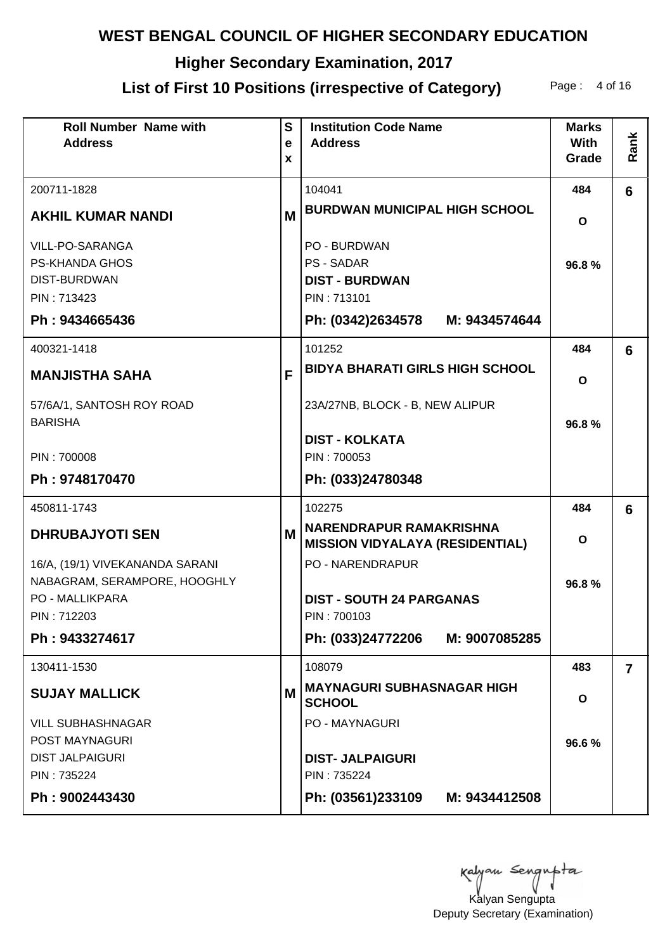## **Higher Secondary Examination, 2017**

### List of First 10 Positions (irrespective of Category) Page: 4 of 16

| <b>Roll Number Name with</b><br><b>Address</b>                                                   | $\mathbf{s}$<br>e<br>X | <b>Institution Code Name</b><br><b>Address</b>                                                               | <b>Marks</b><br><b>With</b><br>Grade | Rank           |
|--------------------------------------------------------------------------------------------------|------------------------|--------------------------------------------------------------------------------------------------------------|--------------------------------------|----------------|
| 200711-1828<br><b>AKHIL KUMAR NANDI</b>                                                          | M                      | 104041<br><b>BURDWAN MUNICIPAL HIGH SCHOOL</b>                                                               | 484<br>O                             | 6              |
| VILL-PO-SARANGA<br><b>PS-KHANDA GHOS</b><br><b>DIST-BURDWAN</b><br>PIN: 713423<br>Ph: 9434665436 |                        | PO - BURDWAN<br><b>PS - SADAR</b><br><b>DIST - BURDWAN</b><br>PIN: 713101<br>Ph: (0342)2634578 M: 9434574644 | 96.8%                                |                |
| 400321-1418                                                                                      |                        | 101252                                                                                                       | 484                                  | 6              |
| <b>MANJISTHA SAHA</b>                                                                            | F                      | <b>BIDYA BHARATI GIRLS HIGH SCHOOL</b>                                                                       | $\mathbf{o}$                         |                |
| 57/6A/1, SANTOSH ROY ROAD<br><b>BARISHA</b>                                                      |                        | 23A/27NB, BLOCK - B, NEW ALIPUR<br><b>DIST - KOLKATA</b>                                                     | 96.8%                                |                |
| PIN: 700008                                                                                      |                        | PIN: 700053                                                                                                  |                                      |                |
| Ph: 9748170470                                                                                   |                        | Ph: (033)24780348                                                                                            |                                      |                |
| 450811-1743                                                                                      |                        | 102275                                                                                                       | 484                                  | 6              |
| <b>DHRUBAJYOTI SEN</b>                                                                           | M                      | <b>NARENDRAPUR RAMAKRISHNA</b><br><b>MISSION VIDYALAYA (RESIDENTIAL)</b>                                     | O                                    |                |
| 16/A, (19/1) VIVEKANANDA SARANI<br>NABAGRAM, SERAMPORE, HOOGHLY<br><b>PO - MALLIKPARA</b>        |                        | <b>PO - NARENDRAPUR</b><br><b>DIST - SOUTH 24 PARGANAS</b>                                                   | 96.8%                                |                |
| PIN: 712203                                                                                      |                        | PIN: 700103                                                                                                  |                                      |                |
| Ph: 9433274617                                                                                   |                        | Ph: (033)24772206 M: 9007085285                                                                              |                                      |                |
| 130411-1530                                                                                      |                        | 108079                                                                                                       | 483                                  | $\overline{7}$ |
| <b>SUJAY MALLICK</b>                                                                             | M                      | <b>MAYNAGURI SUBHASNAGAR HIGH</b><br><b>SCHOOL</b>                                                           | O                                    |                |
| <b>VILL SUBHASHNAGAR</b><br>POST MAYNAGURI<br><b>DIST JALPAIGURI</b><br>PIN: 735224              |                        | PO - MAYNAGURI<br><b>DIST- JALPAIGURI</b><br>PIN: 735224                                                     | 96.6%                                |                |
| Ph: 9002443430                                                                                   |                        | Ph: (03561)233109<br>M: 9434412508                                                                           |                                      |                |

Kalyan Sengn pta

Deputy Secretary (Examination) Kalyan Sengupta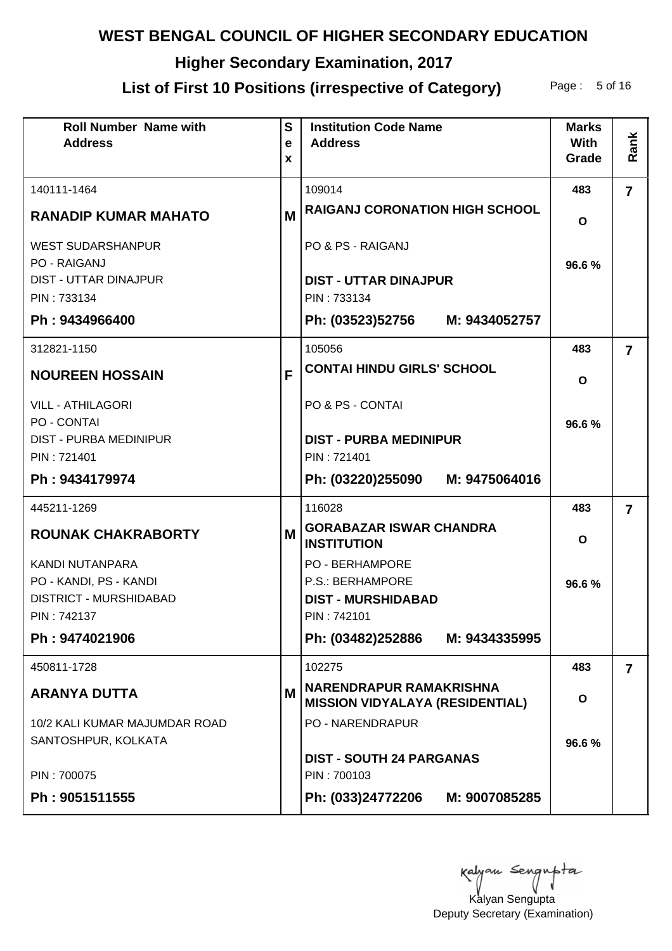## **Higher Secondary Examination, 2017**

### List of First 10 Positions (irrespective of Category) Page: 5 of 16

| <b>Roll Number Name with</b><br><b>Address</b> | S<br>e<br>X | <b>Institution Code Name</b><br><b>Address</b>                           | <b>Marks</b><br><b>With</b><br>Grade | Rank           |
|------------------------------------------------|-------------|--------------------------------------------------------------------------|--------------------------------------|----------------|
| 140111-1464                                    |             | 109014                                                                   | 483                                  | $\overline{7}$ |
| <b>RANADIP KUMAR MAHATO</b>                    | M           | <b>RAIGANJ CORONATION HIGH SCHOOL</b>                                    | $\mathbf{o}$                         |                |
| <b>WEST SUDARSHANPUR</b>                       |             | PO & PS - RAIGANJ                                                        |                                      |                |
| PO - RAIGANJ<br><b>DIST - UTTAR DINAJPUR</b>   |             | <b>DIST - UTTAR DINAJPUR</b>                                             | 96.6%                                |                |
| PIN: 733134                                    |             | PIN: 733134                                                              |                                      |                |
| Ph: 9434966400                                 |             | Ph: (03523)52756 M: 9434052757                                           |                                      |                |
| 312821-1150                                    |             | 105056                                                                   | 483                                  | $\overline{7}$ |
| <b>NOUREEN HOSSAIN</b>                         | F           | <b>CONTAI HINDU GIRLS' SCHOOL</b>                                        | $\mathbf{o}$                         |                |
| <b>VILL - ATHILAGORI</b>                       |             | PO & PS - CONTAI                                                         |                                      |                |
| PO - CONTAI                                    |             |                                                                          | 96.6%                                |                |
| <b>DIST - PURBA MEDINIPUR</b><br>PIN: 721401   |             | <b>DIST - PURBA MEDINIPUR</b><br>PIN: 721401                             |                                      |                |
| Ph: 9434179974                                 |             | Ph: (03220)255090 M: 9475064016                                          |                                      |                |
| 445211-1269                                    |             | 116028                                                                   | 483                                  | $\overline{7}$ |
| <b>ROUNAK CHAKRABORTY</b>                      | М           | <b>GORABAZAR ISWAR CHANDRA</b><br><b>INSTITUTION</b>                     | $\mathbf{o}$                         |                |
| <b>KANDI NUTANPARA</b>                         |             | <b>PO - BERHAMPORE</b>                                                   |                                      |                |
| PO - KANDI, PS - KANDI                         |             | <b>P.S.: BERHAMPORE</b>                                                  | 96.6%                                |                |
| <b>DISTRICT - MURSHIDABAD</b><br>PIN: 742137   |             | <b>DIST - MURSHIDABAD</b><br>PIN: 742101                                 |                                      |                |
| Ph: 9474021906                                 |             | Ph: (03482)252886 M: 9434335995                                          |                                      |                |
| 450811-1728                                    |             | 102275                                                                   | 483                                  | $\overline{7}$ |
| <b>ARANYA DUTTA</b>                            | M           | <b>NARENDRAPUR RAMAKRISHNA</b><br><b>MISSION VIDYALAYA (RESIDENTIAL)</b> | $\mathbf{o}$                         |                |
| 10/2 KALI KUMAR MAJUMDAR ROAD                  |             | <b>PO - NARENDRAPUR</b>                                                  |                                      |                |
| SANTOSHPUR, KOLKATA                            |             | <b>DIST - SOUTH 24 PARGANAS</b>                                          | 96.6%                                |                |
| PIN: 700075                                    |             | PIN: 700103                                                              |                                      |                |
| Ph: 9051511555                                 |             | Ph: (033)24772206 M: 9007085285                                          |                                      |                |

Kalyan Sengn pta

Deputy Secretary (Examination) Kalyan Sengupta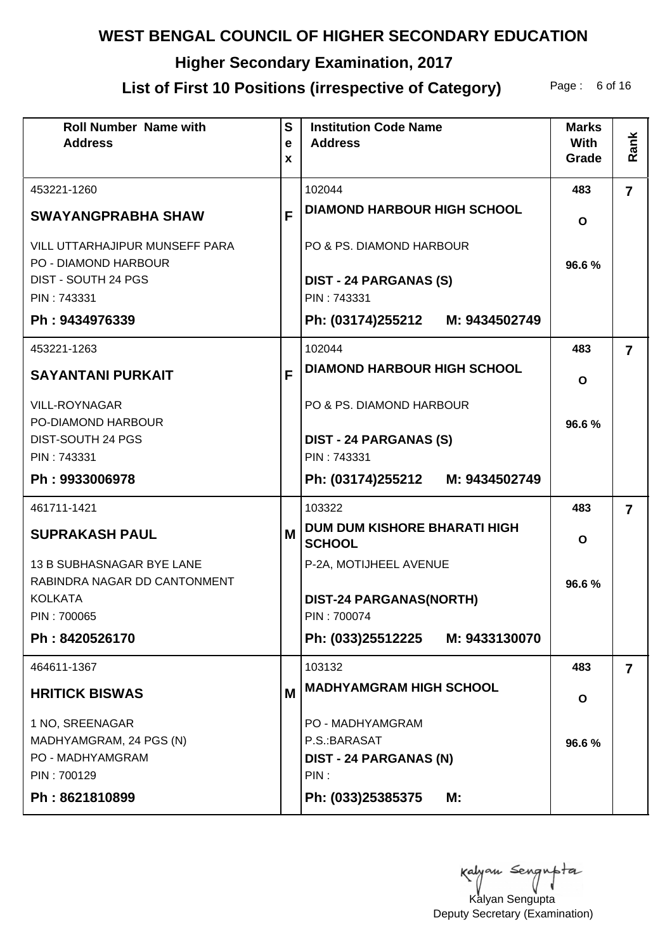## **Higher Secondary Examination, 2017**

### List of First 10 Positions (irrespective of Category) Page: 6 of 16

| <b>Roll Number Name with</b><br><b>Address</b>                                                  | S<br>e<br>X | <b>Institution Code Name</b><br><b>Address</b>                                                        | <b>Marks</b><br><b>With</b><br>Grade | Rank           |
|-------------------------------------------------------------------------------------------------|-------------|-------------------------------------------------------------------------------------------------------|--------------------------------------|----------------|
| 453221-1260                                                                                     |             | 102044                                                                                                | 483                                  | $\overline{7}$ |
| <b>SWAYANGPRABHA SHAW</b>                                                                       | F           | <b>DIAMOND HARBOUR HIGH SCHOOL</b>                                                                    | $\mathbf{o}$                         |                |
| VILL UTTARHAJIPUR MUNSEFF PARA<br>PO - DIAMOND HARBOUR<br>DIST - SOUTH 24 PGS                   |             | PO & PS. DIAMOND HARBOUR<br><b>DIST - 24 PARGANAS (S)</b>                                             | 96.6%                                |                |
| PIN: 743331                                                                                     |             | PIN: 743331                                                                                           |                                      |                |
| Ph: 9434976339                                                                                  |             | Ph: (03174)255212 M: 9434502749                                                                       |                                      |                |
| 453221-1263                                                                                     |             | 102044                                                                                                | 483                                  | $\overline{7}$ |
| <b>SAYANTANI PURKAIT</b>                                                                        | F           | <b>DIAMOND HARBOUR HIGH SCHOOL</b>                                                                    | $\mathbf{o}$                         |                |
| <b>VILL-ROYNAGAR</b><br>PO-DIAMOND HARBOUR<br>DIST-SOUTH 24 PGS<br>PIN: 743331                  |             | PO & PS. DIAMOND HARBOUR<br><b>DIST - 24 PARGANAS (S)</b><br>PIN: 743331                              | 96.6%                                |                |
| Ph: 9933006978                                                                                  |             | Ph: (03174)255212 M: 9434502749                                                                       |                                      |                |
| 461711-1421                                                                                     |             | 103322                                                                                                | 483                                  | $\overline{7}$ |
| <b>SUPRAKASH PAUL</b>                                                                           | М           | <b>DUM DUM KISHORE BHARATI HIGH</b><br><b>SCHOOL</b>                                                  | $\mathbf{o}$                         |                |
| 13 B SUBHASNAGAR BYE LANE                                                                       |             | P-2A, MOTIJHEEL AVENUE                                                                                |                                      |                |
| RABINDRA NAGAR DD CANTONMENT<br><b>KOLKATA</b>                                                  |             |                                                                                                       | 96.6%                                |                |
| PIN: 700065                                                                                     |             | <b>DIST-24 PARGANAS(NORTH)</b><br>PIN: 700074                                                         |                                      |                |
| Ph: 8420526170                                                                                  |             | Ph: (033)25512225 M: 9433130070                                                                       |                                      |                |
| 464611-1367                                                                                     |             | 103132                                                                                                | 483                                  | $\overline{7}$ |
| <b>HRITICK BISWAS</b>                                                                           | M           | <b>MADHYAMGRAM HIGH SCHOOL</b>                                                                        | O                                    |                |
| 1 NO, SREENAGAR<br>MADHYAMGRAM, 24 PGS (N)<br>PO - MADHYAMGRAM<br>PIN: 700129<br>Ph: 8621810899 |             | PO - MADHYAMGRAM<br>P.S.: BARASAT<br><b>DIST - 24 PARGANAS (N)</b><br>PIN:<br>Ph: (033)25385375<br>M: | 96.6%                                |                |
|                                                                                                 |             |                                                                                                       |                                      |                |

Kalyan Sengn pta

Deputy Secretary (Examination) Kalyan Sengupta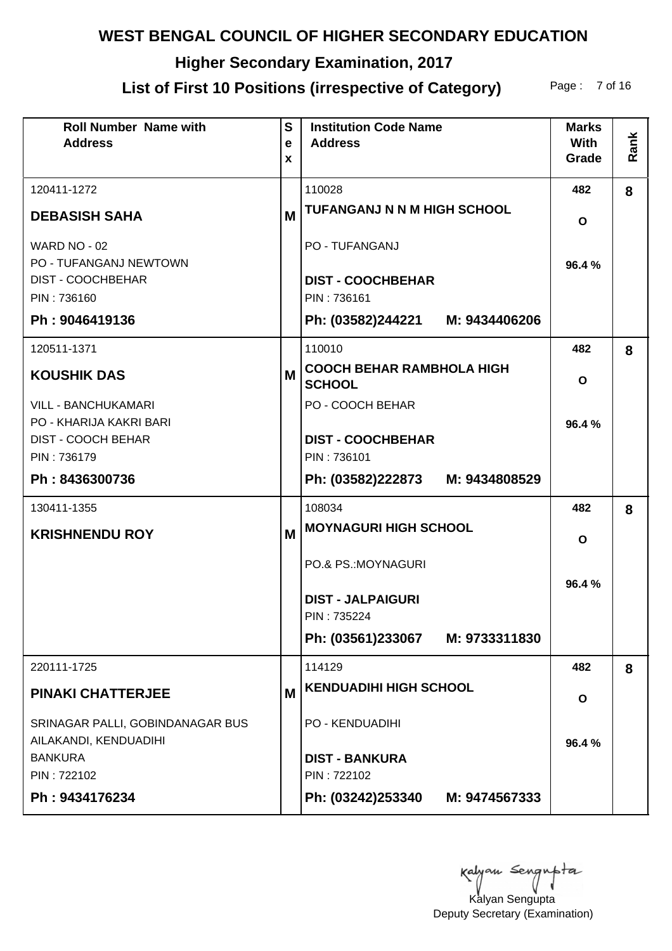## **Higher Secondary Examination, 2017**

### List of First 10 Positions (irrespective of Category) Page: 7 of 16

| <b>Roll Number Name with</b><br><b>Address</b>                                                      | S<br>e<br>X | <b>Institution Code Name</b><br><b>Address</b>                                               | <b>Marks</b><br><b>With</b><br>Grade | Rank |
|-----------------------------------------------------------------------------------------------------|-------------|----------------------------------------------------------------------------------------------|--------------------------------------|------|
| 120411-1272                                                                                         |             | 110028                                                                                       | 482                                  | 8    |
| <b>DEBASISH SAHA</b>                                                                                | M           | <b>TUFANGANJ N N M HIGH SCHOOL</b>                                                           | $\mathbf{o}$                         |      |
| WARD NO - 02<br><b>PO - TUFANGANJ NEWTOWN</b><br>DIST - COOCHBEHAR<br>PIN: 736160<br>Ph: 9046419136 |             | PO - TUFANGANJ<br><b>DIST - COOCHBEHAR</b><br>PIN: 736161<br>Ph: (03582)244221 M: 9434406206 | 96.4%                                |      |
| 120511-1371                                                                                         |             | 110010                                                                                       | 482                                  | 8    |
| <b>KOUSHIK DAS</b>                                                                                  | M           | <b>COOCH BEHAR RAMBHOLA HIGH</b><br><b>SCHOOL</b>                                            | $\mathbf{o}$                         |      |
| <b>VILL - BANCHUKAMARI</b><br>PO - KHARIJA KAKRI BARI<br><b>DIST - COOCH BEHAR</b><br>PIN: 736179   |             | PO - COOCH BEHAR<br><b>DIST - COOCHBEHAR</b><br>PIN: 736101                                  | 96.4%                                |      |
| Ph: 8436300736                                                                                      |             | Ph: (03582)222873 M: 9434808529                                                              |                                      |      |
| 130411-1355                                                                                         |             | 108034                                                                                       | 482                                  | 8    |
| <b>KRISHNENDU ROY</b>                                                                               | M           | <b>MOYNAGURI HIGH SCHOOL</b>                                                                 | $\mathbf{o}$                         |      |
|                                                                                                     |             | PO.& PS.: MOYNAGURI                                                                          |                                      |      |
|                                                                                                     |             | <b>DIST - JALPAIGURI</b><br>PIN: 735224                                                      | 96.4%                                |      |
|                                                                                                     |             | Ph: (03561)233067 M: 9733311830                                                              |                                      |      |
| 220111-1725                                                                                         |             | 114129                                                                                       | 482                                  | 8    |
| <b>PINAKI CHATTERJEE</b>                                                                            | М           | <b>KENDUADIHI HIGH SCHOOL</b>                                                                | O                                    |      |
| SRINAGAR PALLI, GOBINDANAGAR BUS<br>AILAKANDI, KENDUADIHI                                           |             | PO - KENDUADIHI                                                                              | 96.4%                                |      |
| <b>BANKURA</b>                                                                                      |             | <b>DIST - BANKURA</b>                                                                        |                                      |      |
| PIN: 722102<br>Ph: 9434176234                                                                       |             | PIN: 722102<br>Ph: (03242)253340<br>M: 9474567333                                            |                                      |      |

Kalyan Sengn pta

Deputy Secretary (Examination) Kalyan Sengupta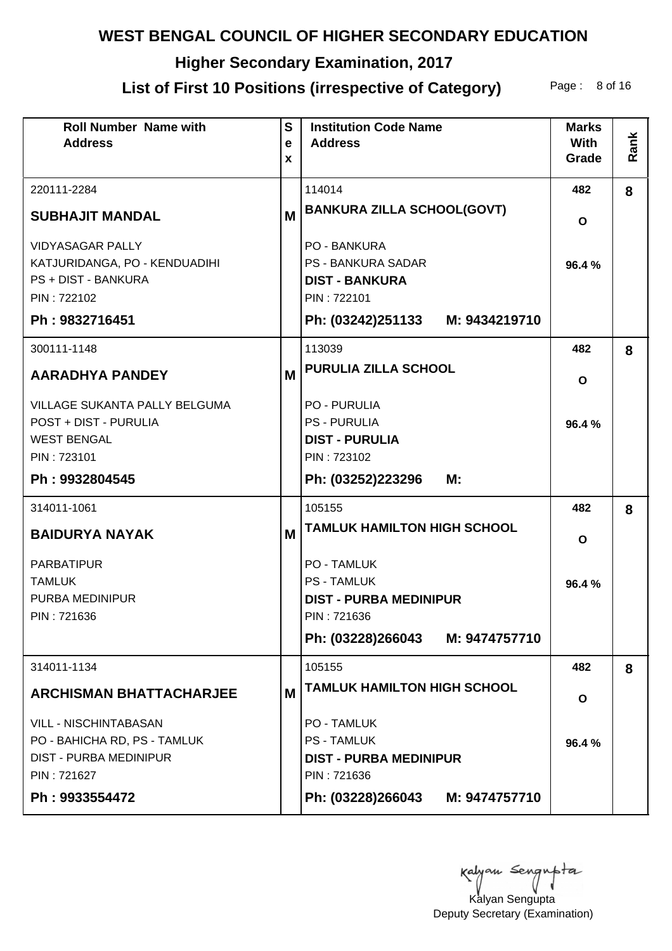## **Higher Secondary Examination, 2017**

### List of First 10 Positions (irrespective of Category) Page: 8 of 16

| <b>Roll Number Name with</b><br><b>Address</b>                                                                                 | $\mathbf{s}$<br>e<br>X | <b>Institution Code Name</b><br><b>Address</b>                                                                                 | <b>Marks</b><br><b>With</b><br>Grade | Rank |
|--------------------------------------------------------------------------------------------------------------------------------|------------------------|--------------------------------------------------------------------------------------------------------------------------------|--------------------------------------|------|
|                                                                                                                                |                        |                                                                                                                                |                                      |      |
| 220111-2284                                                                                                                    |                        | 114014                                                                                                                         | 482                                  | 8    |
| <b>SUBHAJIT MANDAL</b>                                                                                                         | M                      | <b>BANKURA ZILLA SCHOOL(GOVT)</b>                                                                                              | $\mathbf{o}$                         |      |
| <b>VIDYASAGAR PALLY</b><br>KATJURIDANGA, PO - KENDUADIHI<br><b>PS + DIST - BANKURA</b><br>PIN: 722102                          |                        | <b>PO - BANKURA</b><br><b>PS - BANKURA SADAR</b><br><b>DIST - BANKURA</b><br>PIN: 722101                                       | 96.4%                                |      |
| Ph: 9832716451                                                                                                                 |                        | Ph: (03242)251133 M: 9434219710                                                                                                |                                      |      |
| 300111-1148                                                                                                                    |                        | 113039                                                                                                                         | 482                                  | 8    |
| <b>AARADHYA PANDEY</b>                                                                                                         | M                      | <b>PURULIA ZILLA SCHOOL</b>                                                                                                    | $\mathbf{o}$                         |      |
| <b>VILLAGE SUKANTA PALLY BELGUMA</b><br>POST + DIST - PURULIA<br><b>WEST BENGAL</b><br>PIN: 723101                             |                        | <b>PO - PURULIA</b><br><b>PS - PURULIA</b><br><b>DIST - PURULIA</b><br>PIN: 723102                                             | 96.4%                                |      |
| Ph: 9932804545                                                                                                                 |                        | Ph: (03252)223296<br>М:                                                                                                        |                                      |      |
| 314011-1061                                                                                                                    |                        | 105155                                                                                                                         | 482                                  | 8    |
| <b>BAIDURYA NAYAK</b>                                                                                                          | M                      | <b>TAMLUK HAMILTON HIGH SCHOOL</b>                                                                                             | O                                    |      |
| <b>PARBATIPUR</b><br><b>TAMLUK</b><br>PURBA MEDINIPUR<br>PIN: 721636                                                           |                        | <b>PO - TAMLUK</b><br><b>PS - TAMLUK</b><br><b>DIST - PURBA MEDINIPUR</b><br>PIN: 721636<br>Ph: (03228)266043 M: 9474757710    | 96.4%                                |      |
|                                                                                                                                |                        |                                                                                                                                |                                      |      |
| 314011-1134                                                                                                                    |                        | 105155<br><b>TAMLUK HAMILTON HIGH SCHOOL</b>                                                                                   | 482                                  | 8    |
| <b>ARCHISMAN BHATTACHARJEE</b>                                                                                                 | M                      |                                                                                                                                | O                                    |      |
| <b>VILL - NISCHINTABASAN</b><br>PO - BAHICHA RD, PS - TAMLUK<br><b>DIST - PURBA MEDINIPUR</b><br>PIN: 721627<br>Ph: 9933554472 |                        | <b>PO - TAMLUK</b><br><b>PS - TAMLUK</b><br><b>DIST - PURBA MEDINIPUR</b><br>PIN: 721636<br>Ph: (03228)266043<br>M: 9474757710 | 96.4%                                |      |

Kalyan Sengn pta

Deputy Secretary (Examination) Kalyan Sengupta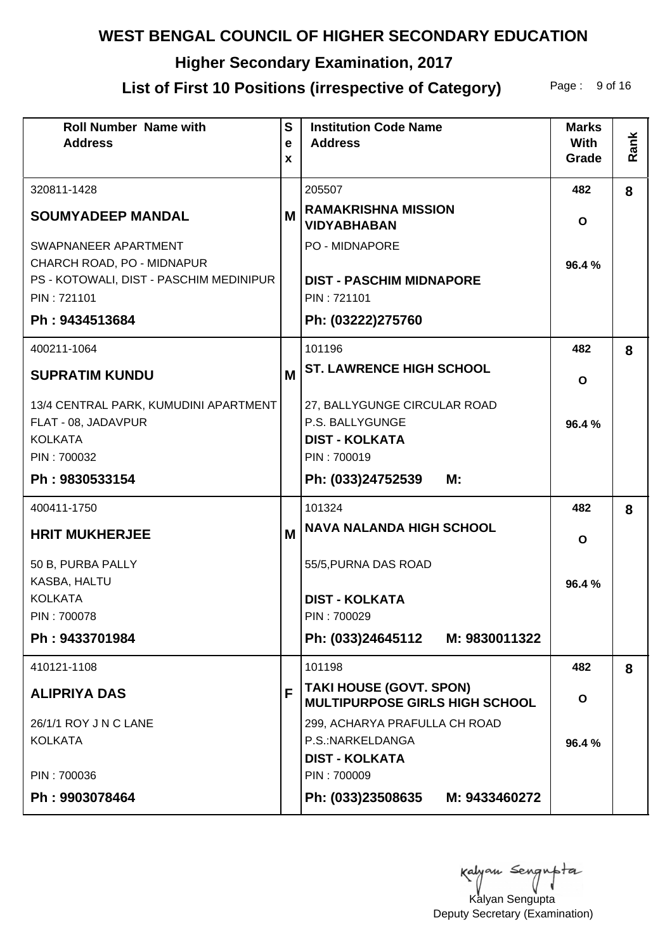## **Higher Secondary Examination, 2017**

### List of First 10 Positions (irrespective of Category) Page: 9 of 16

| <b>Roll Number Name with</b><br><b>Address</b>                                                                                 | S<br>e<br>X | <b>Institution Code Name</b><br><b>Address</b>                                          | <b>Marks</b><br><b>With</b><br>Grade | Rank |
|--------------------------------------------------------------------------------------------------------------------------------|-------------|-----------------------------------------------------------------------------------------|--------------------------------------|------|
|                                                                                                                                |             |                                                                                         |                                      |      |
| 320811-1428<br><b>SOUMYADEEP MANDAL</b>                                                                                        | м           | 205507<br><b>RAMAKRISHNA MISSION</b><br><b>VIDYABHABAN</b>                              | 482<br>$\mathbf{o}$                  | 8    |
| SWAPNANEER APARTMENT<br>CHARCH ROAD, PO - MIDNAPUR<br>PS - KOTOWALI, DIST - PASCHIM MEDINIPUR<br>PIN: 721101<br>Ph: 9434513684 |             | PO - MIDNAPORE<br><b>DIST - PASCHIM MIDNAPORE</b><br>PIN: 721101<br>Ph: (03222)275760   | 96.4%                                |      |
| 400211-1064                                                                                                                    |             | 101196                                                                                  | 482                                  | 8    |
| <b>SUPRATIM KUNDU</b>                                                                                                          | M           | <b>ST. LAWRENCE HIGH SCHOOL</b>                                                         | $\mathbf{o}$                         |      |
| 13/4 CENTRAL PARK, KUMUDINI APARTMENT<br>FLAT - 08, JADAVPUR<br><b>KOLKATA</b><br>PIN: 700032                                  |             | 27, BALLYGUNGE CIRCULAR ROAD<br>P.S. BALLYGUNGE<br><b>DIST - KOLKATA</b><br>PIN: 700019 | 96.4%                                |      |
| Ph: 9830533154                                                                                                                 |             | Ph: (033)24752539<br>M:                                                                 |                                      |      |
| 400411-1750                                                                                                                    |             | 101324                                                                                  | 482                                  | 8    |
| <b>HRIT MUKHERJEE</b>                                                                                                          | M           | <b>NAVA NALANDA HIGH SCHOOL</b>                                                         | $\mathbf{o}$                         |      |
| 50 B, PURBA PALLY<br>KASBA, HALTU                                                                                              |             | 55/5, PURNA DAS ROAD                                                                    | 96.4%                                |      |
| <b>KOLKATA</b><br>PIN: 700078                                                                                                  |             | <b>DIST - KOLKATA</b><br>PIN: 700029                                                    |                                      |      |
| Ph: 9433701984                                                                                                                 |             | Ph: (033)24645112 M: 9830011322                                                         |                                      |      |
| 410121-1108                                                                                                                    |             | 101198                                                                                  | 482                                  | 8    |
| <b>ALIPRIYA DAS</b>                                                                                                            | F           | TAKI HOUSE (GOVT. SPON)<br>MULTIPURPOSE GIRLS HIGH SCHOOL                               | O                                    |      |
| 26/1/1 ROY J N C LANE<br><b>KOLKATA</b>                                                                                        |             | 299, ACHARYA PRAFULLA CH ROAD<br>P.S.:NARKELDANGA<br><b>DIST - KOLKATA</b>              | 96.4%                                |      |
| PIN: 700036                                                                                                                    |             | PIN: 700009                                                                             |                                      |      |
| Ph: 9903078464                                                                                                                 |             | Ph: (033)23508635 M: 9433460272                                                         |                                      |      |

Kalyan Sengn pta

Deputy Secretary (Examination) Kalyan Sengupta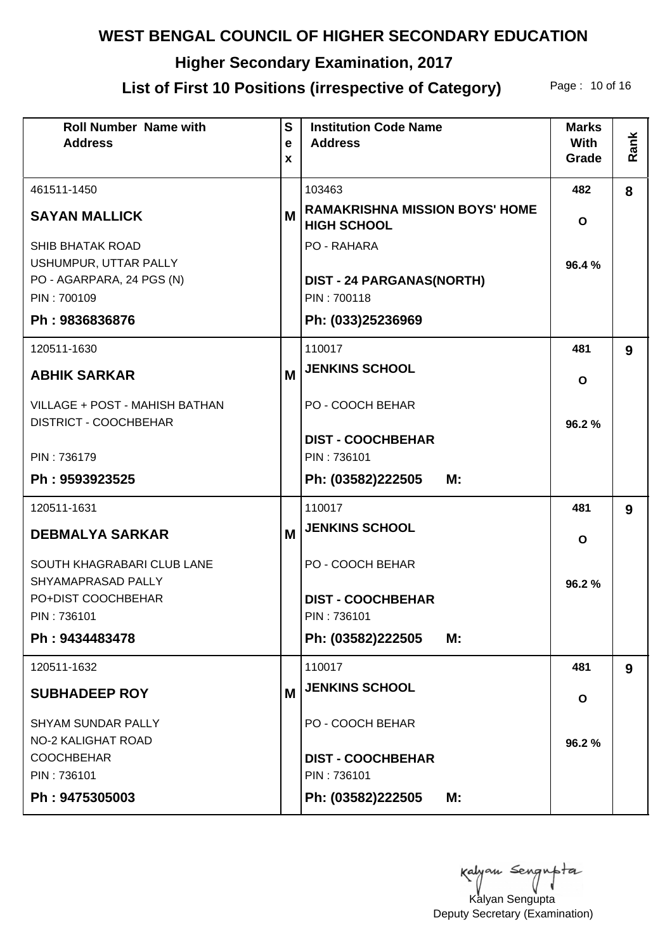## **Higher Secondary Examination, 2017**

### List of First 10 Positions (irrespective of Category) Page: 10 of 16

| <b>Roll Number Name with</b><br><b>Address</b>                                               | $\mathbf{s}$<br>e<br>X | <b>Institution Code Name</b><br><b>Address</b>                 | <b>Marks</b><br><b>With</b><br>Grade | Rank |
|----------------------------------------------------------------------------------------------|------------------------|----------------------------------------------------------------|--------------------------------------|------|
| 461511-1450                                                                                  |                        | 103463                                                         | 482                                  | 8    |
| <b>SAYAN MALLICK</b>                                                                         | M                      | <b>RAMAKRISHNA MISSION BOYS' HOME</b><br><b>HIGH SCHOOL</b>    | $\mathbf{o}$                         |      |
| <b>SHIB BHATAK ROAD</b><br>USHUMPUR, UTTAR PALLY<br>PO - AGARPARA, 24 PGS (N)<br>PIN: 700109 |                        | PO - RAHARA<br><b>DIST - 24 PARGANAS(NORTH)</b><br>PIN: 700118 | 96.4%                                |      |
| Ph: 9836836876                                                                               |                        | Ph: (033)25236969                                              |                                      |      |
| 120511-1630                                                                                  |                        | 110017                                                         | 481                                  | 9    |
| <b>ABHIK SARKAR</b>                                                                          | M                      | <b>JENKINS SCHOOL</b>                                          | $\mathbf{o}$                         |      |
| VILLAGE + POST - MAHISH BATHAN<br><b>DISTRICT - COOCHBEHAR</b>                               |                        | PO - COOCH BEHAR<br><b>DIST - COOCHBEHAR</b>                   | 96.2%                                |      |
| PIN: 736179                                                                                  |                        | PIN: 736101                                                    |                                      |      |
| Ph: 9593923525                                                                               |                        | Ph: (03582)222505<br>M:                                        |                                      |      |
| 120511-1631                                                                                  |                        | 110017                                                         | 481                                  | 9    |
| <b>DEBMALYA SARKAR</b>                                                                       | M                      | <b>JENKINS SCHOOL</b>                                          | $\mathbf{o}$                         |      |
| SOUTH KHAGRABARI CLUB LANE<br>SHYAMAPRASAD PALLY                                             |                        | PO - COOCH BEHAR                                               | 96.2%                                |      |
| PO+DIST COOCHBEHAR<br>PIN: 736101                                                            |                        | <b>DIST - COOCHBEHAR</b><br>PIN: 736101                        |                                      |      |
| Ph: 9434483478                                                                               |                        | Ph: (03582)222505<br>M:                                        |                                      |      |
| 120511-1632                                                                                  |                        | 110017                                                         | 481                                  | 9    |
| <b>SUBHADEEP ROY</b>                                                                         | M                      | <b>JENKINS SCHOOL</b>                                          | $\mathbf{o}$                         |      |
| <b>SHYAM SUNDAR PALLY</b><br><b>NO-2 KALIGHAT ROAD</b>                                       |                        | PO - COOCH BEHAR                                               | 96.2%                                |      |
| <b>COOCHBEHAR</b><br>PIN: 736101                                                             |                        | <b>DIST - COOCHBEHAR</b><br>PIN: 736101                        |                                      |      |
| Ph: 9475305003                                                                               |                        | Ph: (03582)222505<br>M:                                        |                                      |      |

Kalyan Sengn pta

Deputy Secretary (Examination) Kalyan Sengupta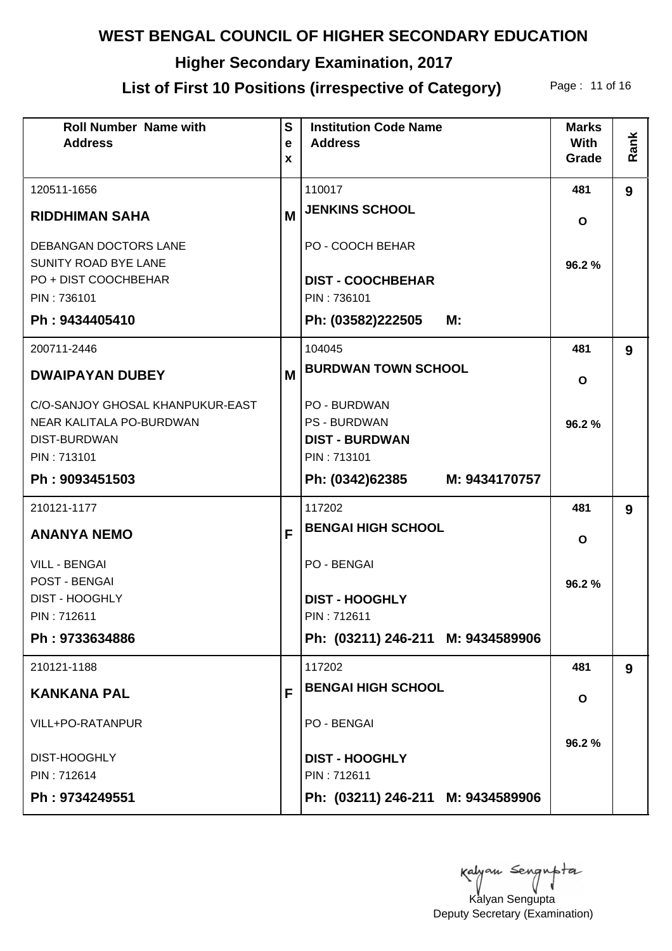## **Higher Secondary Examination, 2017**

### List of First 10 Positions (irrespective of Category) Page: 11 of 16

| <b>Roll Number Name with</b><br><b>Address</b>               | $\mathbf S$<br>e<br>X | <b>Institution Code Name</b><br><b>Address</b> | <b>Marks</b><br><b>With</b><br>Grade | Rank |
|--------------------------------------------------------------|-----------------------|------------------------------------------------|--------------------------------------|------|
|                                                              |                       |                                                |                                      |      |
| 120511-1656                                                  |                       | 110017                                         | 481                                  | 9    |
| <b>RIDDHIMAN SAHA</b>                                        | M                     | <b>JENKINS SCHOOL</b>                          | $\mathbf{o}$                         |      |
| DEBANGAN DOCTORS LANE<br><b>SUNITY ROAD BYE LANE</b>         |                       | PO - COOCH BEHAR                               | 96.2%                                |      |
| PO + DIST COOCHBEHAR<br>PIN: 736101                          |                       | <b>DIST - COOCHBEHAR</b><br>PIN: 736101        |                                      |      |
| Ph: 9434405410                                               |                       | Ph: (03582)222505<br>M:                        |                                      |      |
| 200711-2446                                                  |                       | 104045                                         | 481                                  | 9    |
| <b>DWAIPAYAN DUBEY</b>                                       | M                     | <b>BURDWAN TOWN SCHOOL</b>                     | $\mathbf{o}$                         |      |
| C/O-SANJOY GHOSAL KHANPUKUR-EAST<br>NEAR KALITALA PO-BURDWAN |                       | PO - BURDWAN<br><b>PS - BURDWAN</b>            | 96.2%                                |      |
| <b>DIST-BURDWAN</b><br>PIN: 713101                           |                       | <b>DIST - BURDWAN</b><br>PIN: 713101           |                                      |      |
| Ph: 9093451503                                               |                       | Ph: (0342)62385 M: 9434170757                  |                                      |      |
|                                                              |                       |                                                |                                      |      |
| 210121-1177                                                  |                       | 117202                                         | 481                                  | 9    |
| <b>ANANYA NEMO</b>                                           | F                     | <b>BENGAI HIGH SCHOOL</b>                      | O                                    |      |
| <b>VILL - BENGAI</b>                                         |                       | PO - BENGAI                                    |                                      |      |
| POST - BENGAI<br><b>DIST - HOOGHLY</b>                       |                       | <b>DIST - HOOGHLY</b>                          | 96.2%                                |      |
| PIN: 712611                                                  |                       | PIN: 712611                                    |                                      |      |
| Ph: 9733634886                                               |                       | Ph: (03211) 246-211 M: 9434589906              |                                      |      |
| 210121-1188                                                  |                       | 117202                                         | 481                                  | 9    |
| <b>KANKANA PAL</b>                                           | F                     | <b>BENGAI HIGH SCHOOL</b>                      | O                                    |      |
| VILL+PO-RATANPUR                                             |                       | PO - BENGAI                                    |                                      |      |
| DIST-HOOGHLY                                                 |                       | <b>DIST - HOOGHLY</b>                          | 96.2%                                |      |
| PIN: 712614                                                  |                       | PIN: 712611                                    |                                      |      |
| Ph: 9734249551                                               |                       | Ph: (03211) 246-211 M: 9434589906              |                                      |      |

Kalyan Sengn ysta

Deputy Secretary (Examination) Kalyan Sengupta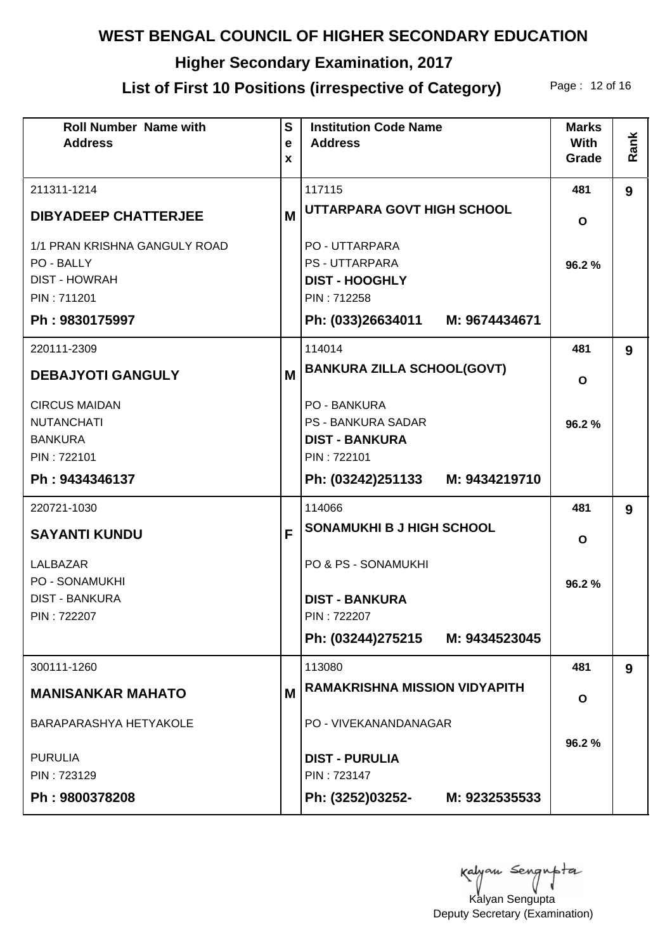## **Higher Secondary Examination, 2017**

### List of First 10 Positions (irrespective of Category) Page: 12 of 16

| <b>Roll Number Name with</b><br><b>Address</b>                                                       | S<br>e<br>X | <b>Institution Code Name</b><br><b>Address</b>                                                                            | <b>Marks</b><br><b>With</b><br>Grade | Rank |
|------------------------------------------------------------------------------------------------------|-------------|---------------------------------------------------------------------------------------------------------------------------|--------------------------------------|------|
| 211311-1214                                                                                          |             | 117115                                                                                                                    | 481                                  | 9    |
| <b>DIBYADEEP CHATTERJEE</b>                                                                          | M           | UTTARPARA GOVT HIGH SCHOOL                                                                                                | $\mathbf{o}$                         |      |
| 1/1 PRAN KRISHNA GANGULY ROAD<br>PO - BALLY<br><b>DIST - HOWRAH</b><br>PIN: 711201<br>Ph: 9830175997 |             | <b>PO - UTTARPARA</b><br><b>PS - UTTARPARA</b><br><b>DIST - HOOGHLY</b><br>PIN: 712258<br>Ph: (033)26634011 M: 9674434671 | 96.2%                                |      |
| 220111-2309                                                                                          |             | 114014                                                                                                                    | 481                                  | 9    |
| <b>DEBAJYOTI GANGULY</b>                                                                             | M           | <b>BANKURA ZILLA SCHOOL(GOVT)</b>                                                                                         | $\mathbf{o}$                         |      |
| <b>CIRCUS MAIDAN</b><br><b>NUTANCHATI</b><br><b>BANKURA</b><br>PIN: 722101                           |             | <b>PO - BANKURA</b><br><b>PS - BANKURA SADAR</b><br><b>DIST - BANKURA</b><br>PIN: 722101                                  | 96.2%                                |      |
| Ph: 9434346137                                                                                       |             | Ph: (03242)251133 M: 9434219710                                                                                           |                                      |      |
| 220721-1030<br><b>SAYANTI KUNDU</b>                                                                  | F           | 114066<br>SONAMUKHI B J HIGH SCHOOL                                                                                       | 481<br>$\mathbf{o}$                  | 9    |
| LALBAZAR<br><b>PO - SONAMUKHI</b>                                                                    |             | PO & PS - SONAMUKHI                                                                                                       | 96.2%                                |      |
| <b>DIST - BANKURA</b><br>PIN: 722207                                                                 |             | <b>DIST - BANKURA</b><br>PIN: 722207                                                                                      |                                      |      |
|                                                                                                      |             | Ph: (03244)275215 M: 9434523045                                                                                           |                                      |      |
| 300111-1260                                                                                          |             | 113080                                                                                                                    | 481                                  | 9    |
| <b>MANISANKAR MAHATO</b>                                                                             | M           | <b>RAMAKRISHNA MISSION VIDYAPITH</b>                                                                                      | O                                    |      |
| BARAPARASHYA HETYAKOLE                                                                               |             | PO - VIVEKANANDANAGAR                                                                                                     | 96.2%                                |      |
| <b>PURULIA</b><br>PIN: 723129                                                                        |             | <b>DIST - PURULIA</b><br>PIN: 723147                                                                                      |                                      |      |
| Ph: 9800378208                                                                                       |             | Ph: (3252)03252- M: 9232535533                                                                                            |                                      |      |

Kalyan Sengn pta

Deputy Secretary (Examination) Kalyan Sengupta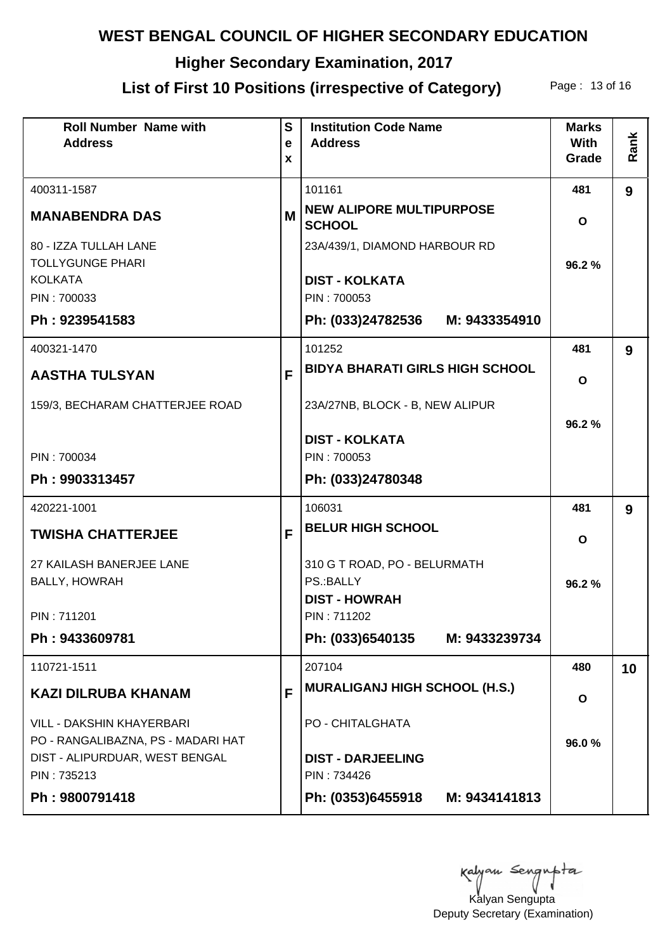## **Higher Secondary Examination, 2017**

### List of First 10 Positions (irrespective of Category) Page: 13 of 16

| <b>Roll Number Name with</b><br><b>Address</b>                                                           | $\mathbf{s}$<br>e<br>X | <b>Institution Code Name</b><br><b>Address</b>                        | <b>Marks</b><br>With<br>Grade | Rank |
|----------------------------------------------------------------------------------------------------------|------------------------|-----------------------------------------------------------------------|-------------------------------|------|
|                                                                                                          |                        |                                                                       |                               |      |
| 400311-1587<br><b>MANABENDRA DAS</b>                                                                     | M                      | 101161<br><b>NEW ALIPORE MULTIPURPOSE</b><br><b>SCHOOL</b>            | 481<br>$\mathbf{o}$           | 9    |
| 80 - IZZA TULLAH LANE<br><b>TOLLYGUNGE PHARI</b><br><b>KOLKATA</b><br>PIN: 700033                        |                        | 23A/439/1, DIAMOND HARBOUR RD<br><b>DIST - KOLKATA</b><br>PIN: 700053 | 96.2%                         |      |
| Ph: 9239541583                                                                                           |                        | Ph: (033)24782536 M: 9433354910                                       |                               |      |
| 400321-1470                                                                                              |                        | 101252                                                                | 481                           | 9    |
| <b>AASTHA TULSYAN</b>                                                                                    | F                      | <b>BIDYA BHARATI GIRLS HIGH SCHOOL</b>                                | $\mathbf{o}$                  |      |
| 159/3, BECHARAM CHATTERJEE ROAD                                                                          |                        | 23A/27NB, BLOCK - B, NEW ALIPUR                                       |                               |      |
|                                                                                                          |                        | <b>DIST - KOLKATA</b>                                                 | 96.2%                         |      |
| PIN: 700034                                                                                              |                        | PIN: 700053                                                           |                               |      |
| Ph: 9903313457                                                                                           |                        | Ph: (033)24780348                                                     |                               |      |
| 420221-1001                                                                                              |                        | 106031                                                                | 481                           | 9    |
| <b>TWISHA CHATTERJEE</b>                                                                                 | F                      | <b>BELUR HIGH SCHOOL</b>                                              | $\mathbf{o}$                  |      |
| 27 KAILASH BANERJEE LANE<br><b>BALLY, HOWRAH</b>                                                         |                        | 310 G T ROAD, PO - BELURMATH<br>PS.: BALLY<br><b>DIST - HOWRAH</b>    | 96.2%                         |      |
| PIN: 711201                                                                                              |                        | PIN: 711202                                                           |                               |      |
| Ph: 9433609781                                                                                           |                        | Ph: (033)6540135 M: 9433239734                                        |                               |      |
| 110721-1511                                                                                              |                        | 207104                                                                | 480                           | 10   |
| <b>KAZI DILRUBA KHANAM</b>                                                                               | F                      | <b>MURALIGANJ HIGH SCHOOL (H.S.)</b>                                  | $\mathbf{o}$                  |      |
| <b>VILL - DAKSHIN KHAYERBARI</b><br>PO - RANGALIBAZNA, PS - MADARI HAT<br>DIST - ALIPURDUAR, WEST BENGAL |                        | PO - CHITALGHATA<br><b>DIST - DARJEELING</b>                          | 96.0%                         |      |
| PIN: 735213                                                                                              |                        | PIN: 734426                                                           |                               |      |
| Ph: 9800791418                                                                                           |                        | Ph: (0353)6455918<br>M: 9434141813                                    |                               |      |

Kalyan Sengupta

Deputy Secretary (Examination) Kalyan Sengupta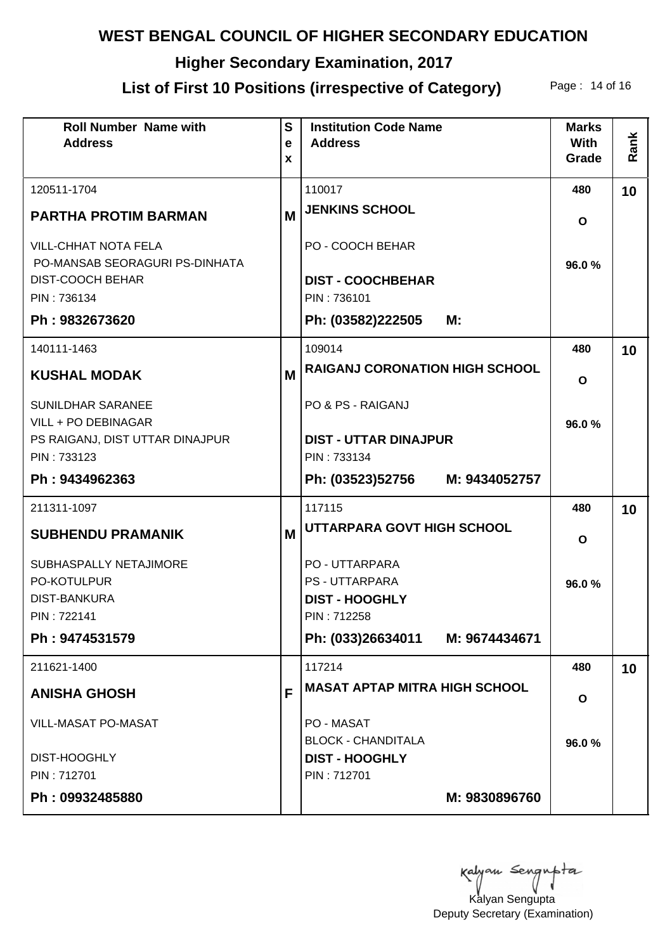## **Higher Secondary Examination, 2017**

### List of First 10 Positions (irrespective of Category) Page: 14 of 16

| <b>Roll Number Name with</b><br><b>Address</b> | $\mathbf S$<br>e<br>X | <b>Institution Code Name</b><br><b>Address</b> | <b>Marks</b><br><b>With</b><br>Grade | Rank |
|------------------------------------------------|-----------------------|------------------------------------------------|--------------------------------------|------|
|                                                |                       |                                                |                                      |      |
| 120511-1704                                    |                       | 110017                                         | 480                                  | 10   |
| <b>PARTHA PROTIM BARMAN</b>                    | м                     | <b>JENKINS SCHOOL</b>                          | $\mathbf{o}$                         |      |
| <b>VILL-CHHAT NOTA FELA</b>                    |                       | PO - COOCH BEHAR                               |                                      |      |
| PO-MANSAB SEORAGURI PS-DINHATA                 |                       |                                                | 96.0%                                |      |
| <b>DIST-COOCH BEHAR</b>                        |                       | <b>DIST - COOCHBEHAR</b>                       |                                      |      |
| PIN: 736134                                    |                       | PIN: 736101                                    |                                      |      |
| Ph: 9832673620                                 |                       | Ph: (03582)222505<br>M:                        |                                      |      |
| 140111-1463                                    |                       | 109014                                         | 480                                  | 10   |
| <b>KUSHAL MODAK</b>                            | M                     | RAIGANJ CORONATION HIGH SCHOOL                 | $\mathbf{o}$                         |      |
| <b>SUNILDHAR SARANEE</b>                       |                       | PO & PS - RAIGANJ                              |                                      |      |
| VILL + PO DEBINAGAR                            |                       |                                                | 96.0%                                |      |
| PS RAIGANJ, DIST UTTAR DINAJPUR<br>PIN: 733123 |                       | <b>DIST - UTTAR DINAJPUR</b><br>PIN: 733134    |                                      |      |
| Ph: 9434962363                                 |                       | Ph: (03523)52756 M: 9434052757                 |                                      |      |
|                                                |                       |                                                |                                      |      |
| 211311-1097                                    |                       | 117115                                         | 480                                  | 10   |
| <b>SUBHENDU PRAMANIK</b>                       | M                     | UTTARPARA GOVT HIGH SCHOOL                     | $\mathbf{o}$                         |      |
| SUBHASPALLY NETAJIMORE                         |                       | <b>PO - UTTARPARA</b>                          |                                      |      |
| PO-KOTULPUR                                    |                       | <b>PS - UTTARPARA</b>                          | 96.0%                                |      |
| <b>DIST-BANKURA</b>                            |                       | <b>DIST - HOOGHLY</b>                          |                                      |      |
| PIN: 722141                                    |                       | PIN: 712258                                    |                                      |      |
| Ph: 9474531579                                 |                       | Ph: (033)26634011 M: 9674434671                |                                      |      |
| 211621-1400                                    |                       | 117214                                         | 480                                  | 10   |
| <b>ANISHA GHOSH</b>                            | F                     | <b>MASAT APTAP MITRA HIGH SCHOOL</b>           | $\mathbf{o}$                         |      |
| <b>VILL-MASAT PO-MASAT</b>                     |                       | PO - MASAT                                     |                                      |      |
|                                                |                       | <b>BLOCK - CHANDITALA</b>                      | 96.0%                                |      |
| DIST-HOOGHLY                                   |                       | <b>DIST - HOOGHLY</b>                          |                                      |      |
| PIN: 712701                                    |                       | PIN: 712701                                    |                                      |      |
| Ph: 09932485880                                |                       | M: 9830896760                                  |                                      |      |

Kalyan Sengn pta

Deputy Secretary (Examination) Kalyan Sengupta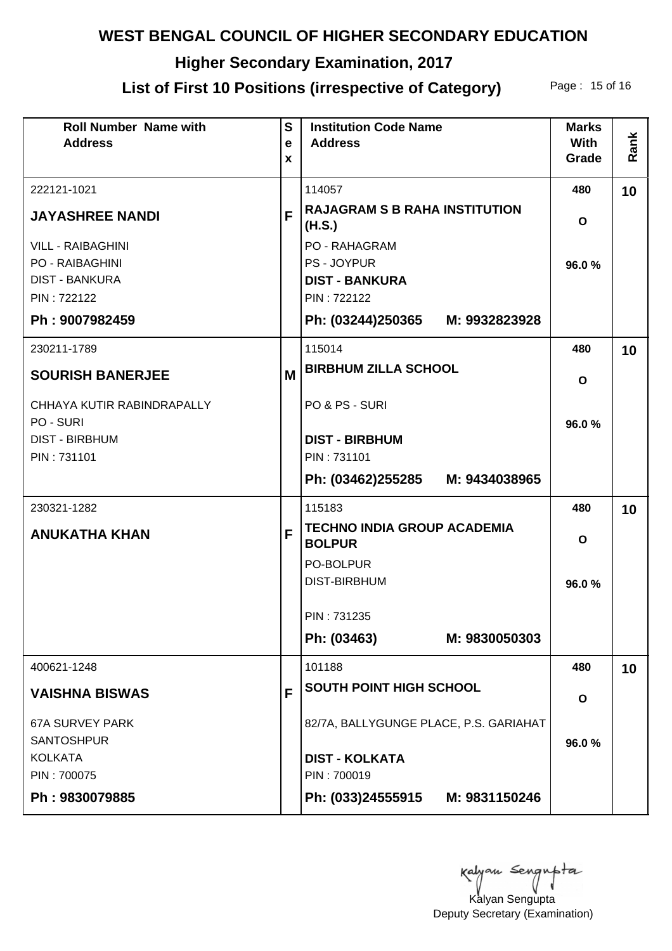## **Higher Secondary Examination, 2017**

# List of First 10 Positions (irrespective of Category) Page: 15 of 16

| <b>Roll Number Name with</b><br><b>Address</b>                                                               | $\mathbf{s}$<br>e<br>X | <b>Institution Code Name</b><br><b>Address</b>                                                                 | <b>Marks</b><br><b>With</b><br>Grade | Rank |
|--------------------------------------------------------------------------------------------------------------|------------------------|----------------------------------------------------------------------------------------------------------------|--------------------------------------|------|
| 222121-1021                                                                                                  |                        | 114057                                                                                                         | 480                                  | 10   |
| <b>JAYASHREE NANDI</b>                                                                                       | F                      | <b>RAJAGRAM S B RAHA INSTITUTION</b><br>(H.S.)                                                                 | $\mathbf{o}$                         |      |
| <b>VILL - RAIBAGHINI</b><br><b>PO - RAIBAGHINI</b><br><b>DIST - BANKURA</b><br>PIN: 722122<br>Ph: 9007982459 |                        | <b>PO - RAHAGRAM</b><br>PS - JOYPUR<br><b>DIST - BANKURA</b><br>PIN: 722122<br>Ph: (03244)250365 M: 9932823928 | 96.0%                                |      |
| 230211-1789                                                                                                  |                        | 115014                                                                                                         | 480                                  | 10   |
| <b>SOURISH BANERJEE</b>                                                                                      | M                      | <b>BIRBHUM ZILLA SCHOOL</b>                                                                                    | $\mathbf{o}$                         |      |
| CHHAYA KUTIR RABINDRAPALLY<br><b>PO - SURI</b><br><b>DIST - BIRBHUM</b><br>PIN: 731101                       |                        | PO & PS - SURI<br><b>DIST - BIRBHUM</b><br>PIN: 731101                                                         | 96.0%                                |      |
|                                                                                                              |                        | Ph: (03462)255285 M: 9434038965                                                                                |                                      |      |
| 230321-1282<br><b>ANUKATHA KHAN</b>                                                                          | F                      | 115183<br><b>TECHNO INDIA GROUP ACADEMIA</b><br><b>BOLPUR</b><br>PO-BOLPUR                                     | 480<br>$\mathbf{o}$                  | 10   |
|                                                                                                              |                        | <b>DIST-BIRBHUM</b>                                                                                            | 96.0%                                |      |
|                                                                                                              |                        | PIN: 731235                                                                                                    |                                      |      |
|                                                                                                              |                        | Ph: (03463)<br>M: 9830050303                                                                                   |                                      |      |
| 400621-1248                                                                                                  |                        | 101188                                                                                                         | 480                                  | 10   |
| <b>VAISHNA BISWAS</b>                                                                                        | F                      | SOUTH POINT HIGH SCHOOL                                                                                        | $\mathbf{o}$                         |      |
| <b>67A SURVEY PARK</b><br><b>SANTOSHPUR</b><br><b>KOLKATA</b><br>PIN: 700075                                 |                        | 82/7A, BALLYGUNGE PLACE, P.S. GARIAHAT<br><b>DIST - KOLKATA</b><br>PIN: 700019                                 | 96.0%                                |      |
| Ph: 9830079885                                                                                               |                        | Ph: (033)24555915 M: 9831150246                                                                                |                                      |      |

pta Kalyan Sengn

Deputy Secretary (Examination) Kalyan Sengupta